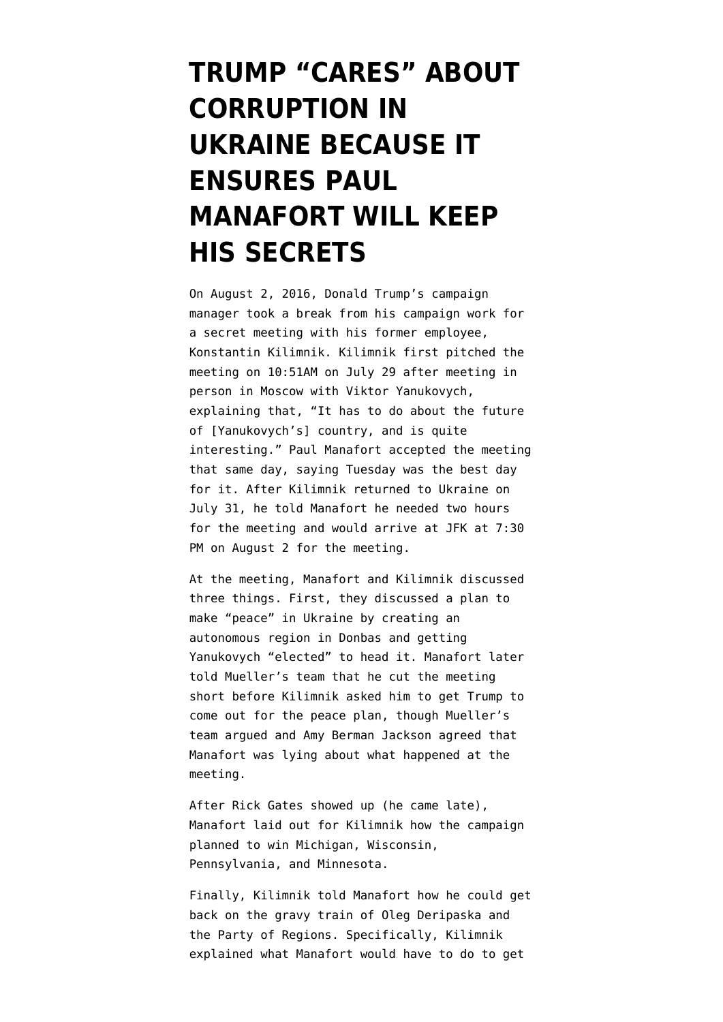## **[TRUMP "CARES" ABOUT](https://www.emptywheel.net/2019/12/13/trumps-campaign-manager-was-paid-by-the-party-of-regions/) [CORRUPTION IN](https://www.emptywheel.net/2019/12/13/trumps-campaign-manager-was-paid-by-the-party-of-regions/) [UKRAINE BECAUSE IT](https://www.emptywheel.net/2019/12/13/trumps-campaign-manager-was-paid-by-the-party-of-regions/) [ENSURES PAUL](https://www.emptywheel.net/2019/12/13/trumps-campaign-manager-was-paid-by-the-party-of-regions/) [MANAFORT WILL KEEP](https://www.emptywheel.net/2019/12/13/trumps-campaign-manager-was-paid-by-the-party-of-regions/) [HIS SECRETS](https://www.emptywheel.net/2019/12/13/trumps-campaign-manager-was-paid-by-the-party-of-regions/)**

On August 2, 2016, Donald Trump's campaign manager took a break from his campaign work for a secret meeting with his former employee, Konstantin Kilimnik. Kilimnik first pitched the meeting on 10:51AM on July 29 after meeting in person in Moscow with Viktor Yanukovych, explaining that, "It has to do about the future of [Yanukovych's] country, and is quite interesting." Paul Manafort accepted the meeting that same day, saying Tuesday was the best day for it. After Kilimnik returned to Ukraine on July 31, he told Manafort he needed two hours for the meeting and would arrive at JFK at 7:30 PM on August 2 for the meeting.

At the meeting, Manafort and Kilimnik discussed three things. First, they discussed a plan to make "peace" in Ukraine by creating an autonomous region in Donbas and getting Yanukovych "elected" to head it. Manafort later [told Mueller's team](https://assets.documentcloud.org/documents/6002293/190322-Redacted-Mueller-Report.pdf) that he cut the meeting short before Kilimnik asked him to get Trump to come out for the peace plan, though Mueller's team argued and Amy Berman Jackson agreed that Manafort was lying about what happened at the meeting.

After Rick Gates showed up (he came late), Manafort laid out for Kilimnik how the campaign planned to win Michigan, Wisconsin, Pennsylvania, and Minnesota.

Finally, Kilimnik told Manafort how he could get back on the gravy train of Oleg Deripaska and the Party of Regions. Specifically, Kilimnik explained what Manafort would have to do to get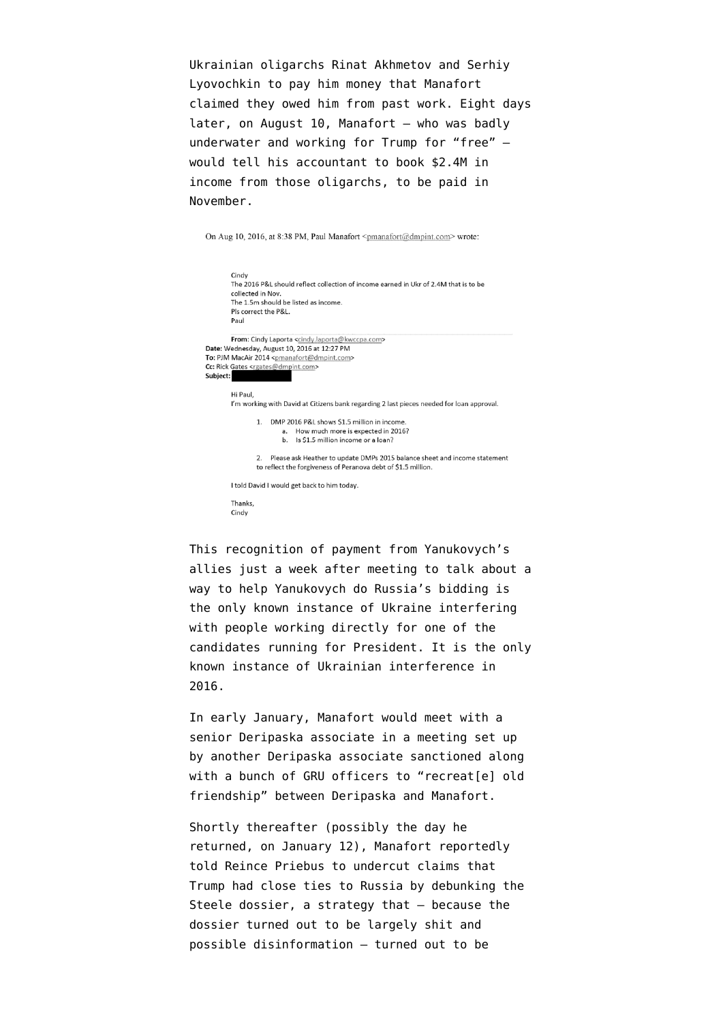Ukrainian oligarchs Rinat Akhmetov and Serhiy Lyovochkin to pay him money that Manafort claimed they owed him from past work. Eight days later, on August 10, Manafort — who was badly underwater and working for Trump for "free" would tell his accountant to book \$2.4M in income from those oligarchs, to be paid in November.

On Aug 10, 2016, at 8:38 PM, Paul Manafort <pmanafort@dmpint.com> wrote:

This recognition of payment from Yanukovych's allies just a week after meeting to talk about a way to help Yanukovych do Russia's bidding is the only known instance of Ukraine interfering with people working directly for one of the candidates running for President. It is the only known instance of Ukrainian interference in 2016.

In early January, Manafort would meet with a senior Deripaska associate in a meeting set up by another Deripaska associate [sanctioned along](https://www.emptywheel.net/2019/05/18/i-have-been-sending-everything-to-victor-on-paul-manaforts-treasury-sanctioned-meeting-planner-viktor-boyarkin/) [with a bunch of GRU officers](https://www.emptywheel.net/2019/05/18/i-have-been-sending-everything-to-victor-on-paul-manaforts-treasury-sanctioned-meeting-planner-viktor-boyarkin/) to "recreat[e] old friendship" between Deripaska and Manafort.

Shortly thereafter (possibly the day he returned, on January 12), Manafort [reportedly](https://www.emptywheel.net/2017/10/27/did-manafort-prep-trump-for-the-dossier-lawfare/) [told](https://www.emptywheel.net/2017/10/27/did-manafort-prep-trump-for-the-dossier-lawfare/) Reince Priebus to undercut claims that Trump had close ties to Russia by debunking the Steele dossier, a strategy that — because the dossier turned out to be largely shit and [possible disinformation](https://www.emptywheel.net/2018/08/13/the-dossier-as-disinformation-why-it-would-matter/) — turned out to be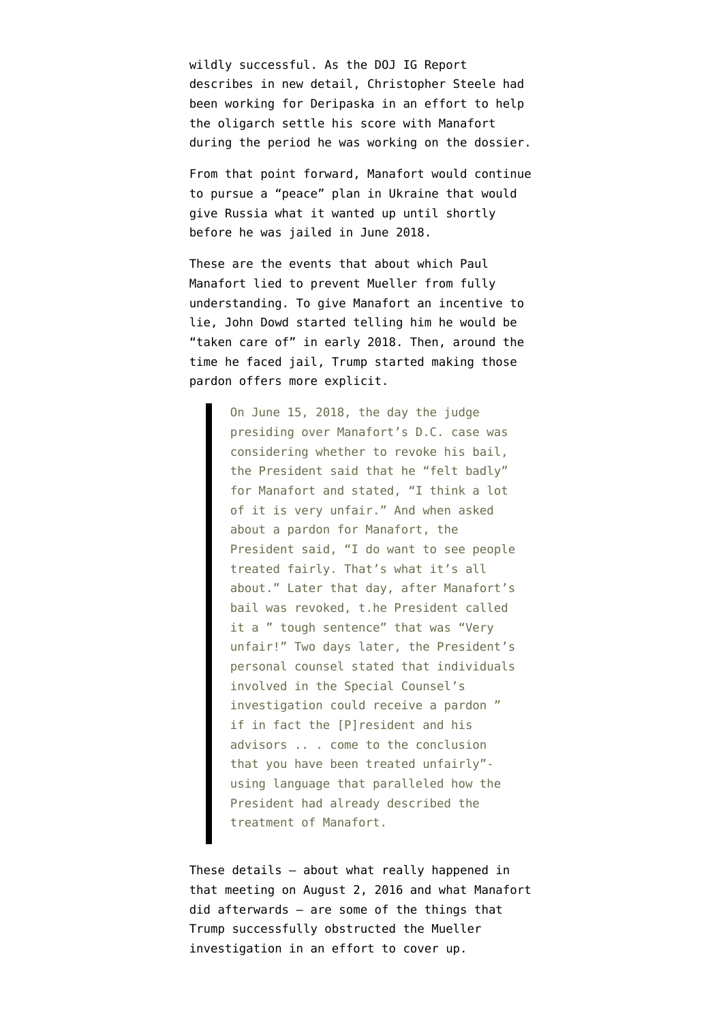wildly successful. As the [DOJ IG Report](https://www.justice.gov/storage/120919-examination.pdf) [describes in new detail,](https://www.justice.gov/storage/120919-examination.pdf) Christopher Steele had been working for Deripaska in an effort to help the oligarch settle his score with Manafort during the period he was working on the dossier.

From that point forward, Manafort would continue to pursue a "peace" plan in Ukraine that would give Russia what it wanted up until shortly before he was jailed in June 2018.

These are the events that about which Paul Manafort lied to prevent Mueller from fully understanding. To give Manafort an incentive to lie, John Dowd started telling him he would be "taken care of" in early 2018. Then, around the time he faced jail, Trump started making those pardon offers more explicit.

> On June 15, 2018, the day the judge presiding over Manafort's D.C. case was considering whether to revoke his bail, the President said that he "felt badly" for Manafort and stated, "I think a lot of it is very unfair." And when asked about a pardon for Manafort, the President said, "I do want to see people treated fairly. That's what it's all about." Later that day, after Manafort's bail was revoked, t.he President called it a " tough sentence" that was "Very unfair!" Two days later, the President's personal counsel stated that individuals involved in the Special Counsel's investigation could receive a pardon " if in fact the [P]resident and his advisors .. . come to the conclusion that you have been treated unfairly" using language that paralleled how the President had already described the treatment of Manafort.

These details — about what really happened in that meeting on August 2, 2016 and what Manafort did afterwards — are some of the things that Trump successfully obstructed the Mueller investigation in an effort to cover up.